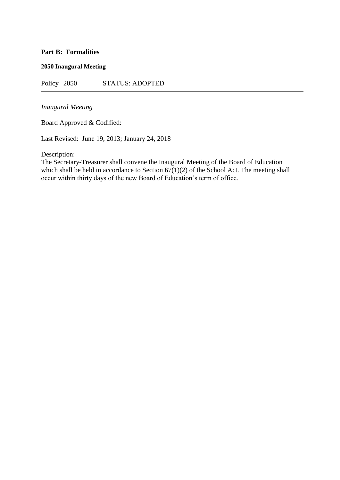# **Part B: Formalities**

### **2050 Inaugural Meeting**

Policy 2050 STATUS: ADOPTED

## *Inaugural Meeting*

Board Approved & Codified:

Last Revised: June 19, 2013; January 24, 2018

Description:

The Secretary-Treasurer shall convene the Inaugural Meeting of the Board of Education which shall be held in accordance to Section  $67(1)(2)$  of the School Act. The meeting shall occur within thirty days of the new Board of Education's term of office.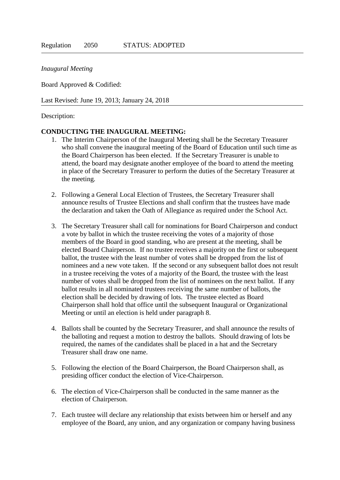### *Inaugural Meeting*

Board Approved & Codified:

Last Revised: June 19, 2013; January 24, 2018

#### Description:

#### **CONDUCTING THE INAUGURAL MEETING:**

- 1. The Interim Chairperson of the Inaugural Meeting shall be the Secretary Treasurer who shall convene the inaugural meeting of the Board of Education until such time as the Board Chairperson has been elected. If the Secretary Treasurer is unable to attend, the board may designate another employee of the board to attend the meeting in place of the Secretary Treasurer to perform the duties of the Secretary Treasurer at the meeting.
- 2. Following a General Local Election of Trustees, the Secretary Treasurer shall announce results of Trustee Elections and shall confirm that the trustees have made the declaration and taken the Oath of Allegiance as required under the School Act.
- 3. The Secretary Treasurer shall call for nominations for Board Chairperson and conduct a vote by ballot in which the trustee receiving the votes of a majority of those members of the Board in good standing, who are present at the meeting, shall be elected Board Chairperson. If no trustee receives a majority on the first or subsequent ballot, the trustee with the least number of votes shall be dropped from the list of nominees and a new vote taken. If the second or any subsequent ballot does not result in a trustee receiving the votes of a majority of the Board, the trustee with the least number of votes shall be dropped from the list of nominees on the next ballot. If any ballot results in all nominated trustees receiving the same number of ballots, the election shall be decided by drawing of lots. The trustee elected as Board Chairperson shall hold that office until the subsequent Inaugural or Organizational Meeting or until an election is held under paragraph 8.
- 4. Ballots shall be counted by the Secretary Treasurer, and shall announce the results of the balloting and request a motion to destroy the ballots. Should drawing of lots be required, the names of the candidates shall be placed in a hat and the Secretary Treasurer shall draw one name.
- 5. Following the election of the Board Chairperson, the Board Chairperson shall, as presiding officer conduct the election of Vice-Chairperson.
- 6. The election of Vice-Chairperson shall be conducted in the same manner as the election of Chairperson.
- 7. Each trustee will declare any relationship that exists between him or herself and any employee of the Board, any union, and any organization or company having business